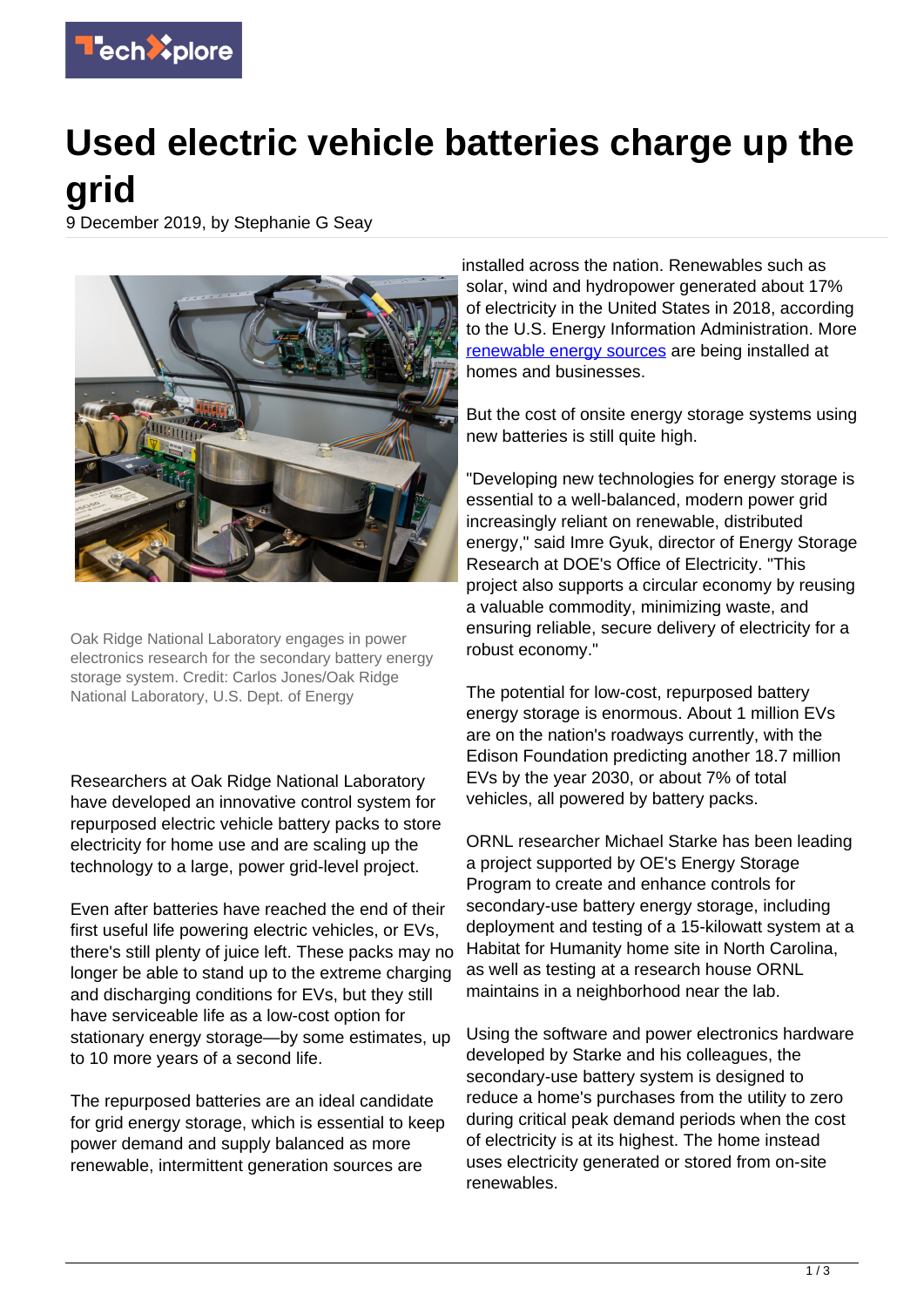

## **Used electric vehicle batteries charge up the grid**

9 December 2019, by Stephanie G Seay



Oak Ridge National Laboratory engages in power electronics research for the secondary battery energy storage system. Credit: Carlos Jones/Oak Ridge National Laboratory, U.S. Dept. of Energy

Researchers at Oak Ridge National Laboratory have developed an innovative control system for repurposed electric vehicle battery packs to store electricity for home use and are scaling up the technology to a large, power grid-level project.

Even after batteries have reached the end of their first useful life powering electric vehicles, or EVs, there's still plenty of juice left. These packs may no longer be able to stand up to the extreme charging and discharging conditions for EVs, but they still have serviceable life as a low-cost option for stationary energy storage—by some estimates, up to 10 more years of a second life.

The repurposed batteries are an ideal candidate for grid energy storage, which is essential to keep power demand and supply balanced as more renewable, intermittent generation sources are

installed across the nation. Renewables such as solar, wind and hydropower generated about 17% of electricity in the United States in 2018, according to the U.S. Energy Information Administration. More [renewable energy sources](https://techxplore.com/tags/renewable+energy+sources/) are being installed at homes and businesses.

But the cost of onsite energy storage systems using new batteries is still quite high.

"Developing new technologies for energy storage is essential to a well-balanced, modern power grid increasingly reliant on renewable, distributed energy," said Imre Gyuk, director of Energy Storage Research at DOE's Office of Electricity. "This project also supports a circular economy by reusing a valuable commodity, minimizing waste, and ensuring reliable, secure delivery of electricity for a robust economy."

The potential for low-cost, repurposed battery energy storage is enormous. About 1 million EVs are on the nation's roadways currently, with the Edison Foundation predicting another 18.7 million EVs by the year 2030, or about 7% of total vehicles, all powered by battery packs.

ORNL researcher Michael Starke has been leading a project supported by OE's Energy Storage Program to create and enhance controls for secondary-use battery energy storage, including deployment and testing of a 15-kilowatt system at a Habitat for Humanity home site in North Carolina, as well as testing at a research house ORNL maintains in a neighborhood near the lab.

Using the software and power electronics hardware developed by Starke and his colleagues, the secondary-use battery system is designed to reduce a home's purchases from the utility to zero during critical peak demand periods when the cost of electricity is at its highest. The home instead uses electricity generated or stored from on-site renewables.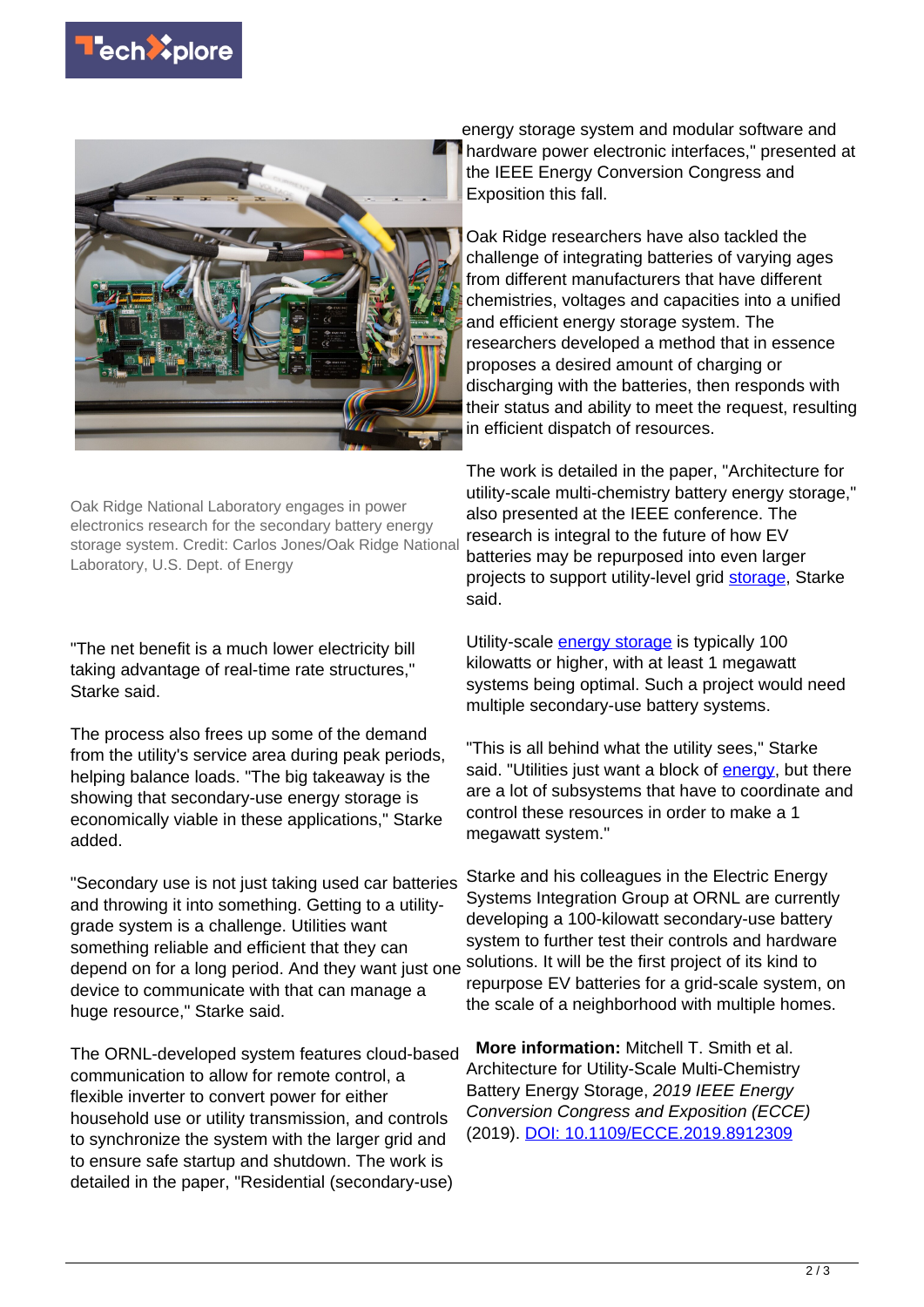



Oak Ridge National Laboratory engages in power electronics research for the secondary battery energy storage system. Credit: Carlos Jones/Oak Ridge National Laboratory, U.S. Dept. of Energy

"The net benefit is a much lower electricity bill taking advantage of real-time rate structures," Starke said.

The process also frees up some of the demand from the utility's service area during peak periods, helping balance loads. "The big takeaway is the showing that secondary-use energy storage is economically viable in these applications," Starke added.

"Secondary use is not just taking used car batteries and throwing it into something. Getting to a utilitygrade system is a challenge. Utilities want something reliable and efficient that they can depend on for a long period. And they want just one device to communicate with that can manage a huge resource," Starke said.

The ORNL-developed system features cloud-based communication to allow for remote control, a flexible inverter to convert power for either household use or utility transmission, and controls to synchronize the system with the larger grid and to ensure safe startup and shutdown. The work is detailed in the paper, "Residential (secondary-use)

energy storage system and modular software and hardware power electronic interfaces," presented at the IEEE Energy Conversion Congress and Exposition this fall.

Oak Ridge researchers have also tackled the challenge of integrating batteries of varying ages from different manufacturers that have different chemistries, voltages and capacities into a unified and efficient energy storage system. The researchers developed a method that in essence proposes a desired amount of charging or discharging with the batteries, then responds with their status and ability to meet the request, resulting in efficient dispatch of resources.

The work is detailed in the paper, "Architecture for utility-scale multi-chemistry battery energy storage," also presented at the IEEE conference. The research is integral to the future of how EV batteries may be repurposed into even larger projects to support utility-level grid [storage](https://techxplore.com/tags/storage/), Starke said.

Utility-scale [energy storage](https://techxplore.com/tags/energy+storage/) is typically 100 kilowatts or higher, with at least 1 megawatt systems being optimal. Such a project would need multiple secondary-use battery systems.

"This is all behind what the utility sees," Starke said. "Utilities just want a block of [energy](https://techxplore.com/tags/energy/), but there are a lot of subsystems that have to coordinate and control these resources in order to make a 1 megawatt system."

Starke and his colleagues in the Electric Energy Systems Integration Group at ORNL are currently developing a 100-kilowatt secondary-use battery system to further test their controls and hardware solutions. It will be the first project of its kind to repurpose EV batteries for a grid-scale system, on the scale of a neighborhood with multiple homes.

 **More information:** Mitchell T. Smith et al. Architecture for Utility-Scale Multi-Chemistry Battery Energy Storage, 2019 IEEE Energy Conversion Congress and Exposition (ECCE) (2019). [DOI: 10.1109/ECCE.2019.8912309](http://dx.doi.org/10.1109/ECCE.2019.8912309)